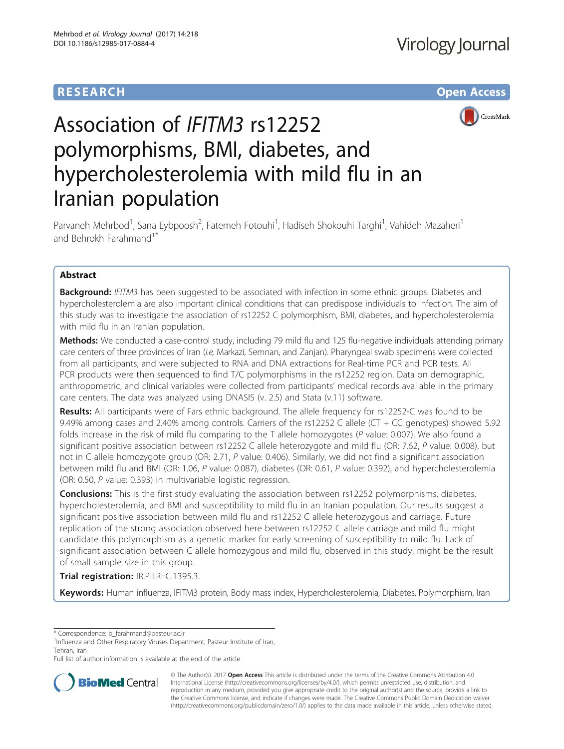# **RESEARCH CHE Open Access**



# Association of IFITM3 rs12252 polymorphisms, BMI, diabetes, and hypercholesterolemia with mild flu in an Iranian population

Parvaneh Mehrbod<sup>1</sup>, Sana Eybpoosh<sup>2</sup>, Fatemeh Fotouhi<sup>1</sup>, Hadiseh Shokouhi Targhi<sup>1</sup>, Vahideh Mazaheri<sup>1</sup> and Behrokh Farahmand<sup>1\*</sup>

# Abstract

**Background:** IFITM3 has been suggested to be associated with infection in some ethnic groups. Diabetes and hypercholesterolemia are also important clinical conditions that can predispose individuals to infection. The aim of this study was to investigate the association of rs12252 C polymorphism, BMI, diabetes, and hypercholesterolemia with mild flu in an Iranian population.

Methods: We conducted a case-control study, including 79 mild flu and 125 flu-negative individuals attending primary care centers of three provinces of Iran (i.e, Markazi, Semnan, and Zanjan). Pharyngeal swab specimens were collected from all participants, and were subjected to RNA and DNA extractions for Real-time PCR and PCR tests. All PCR products were then sequenced to find T/C polymorphisms in the rs12252 region. Data on demographic, anthropometric, and clinical variables were collected from participants' medical records available in the primary care centers. The data was analyzed using DNASIS (v. 2.5) and Stata (v.11) software.

Results: All participants were of Fars ethnic background. The allele frequency for rs12252-C was found to be 9.49% among cases and 2.40% among controls. Carriers of the rs12252 C allele (CT + CC genotypes) showed 5.92 folds increase in the risk of mild flu comparing to the T allele homozygotes (P value: 0.007). We also found a significant positive association between rs12252 C allele heterozygote and mild flu (OR: 7.62, P value: 0.008), but not in C allele homozygote group (OR: 2.71, P value: 0.406). Similarly, we did not find a significant association between mild flu and BMI (OR: 1.06, P value: 0.087), diabetes (OR: 0.61, P value: 0.392), and hypercholesterolemia (OR: 0.50, P value: 0.393) in multivariable logistic regression.

**Conclusions:** This is the first study evaluating the association between rs12252 polymorphisms, diabetes, hypercholesterolemia, and BMI and susceptibility to mild flu in an Iranian population. Our results suggest a significant positive association between mild flu and rs12252 C allele heterozygous and carriage. Future replication of the strong association observed here between rs12252 C allele carriage and mild flu might candidate this polymorphism as a genetic marker for early screening of susceptibility to mild flu. Lack of significant association between C allele homozygous and mild flu, observed in this study, might be the result of small sample size in this group.

Trial registration: IR.PII.REC.1395.3.

Keywords: Human influenza, IFITM3 protein, Body mass index, Hypercholesterolemia, Diabetes, Polymorphism, Iran

Full list of author information is available at the end of the article



© The Author(s). 2017 **Open Access** This article is distributed under the terms of the Creative Commons Attribution 4.0 International License [\(http://creativecommons.org/licenses/by/4.0/](http://creativecommons.org/licenses/by/4.0/)), which permits unrestricted use, distribution, and reproduction in any medium, provided you give appropriate credit to the original author(s) and the source, provide a link to the Creative Commons license, and indicate if changes were made. The Creative Commons Public Domain Dedication waiver [\(http://creativecommons.org/publicdomain/zero/1.0/](http://creativecommons.org/publicdomain/zero/1.0/)) applies to the data made available in this article, unless otherwise stated.

<sup>\*</sup> Correspondence: [b\\_farahmand@pasteur.ac.ir](mailto:b_farahmand@pasteur.ac.ir) <sup>1</sup>

<sup>&</sup>lt;sup>1</sup>Influenza and Other Respiratory Viruses Department, Pasteur Institute of Iran, Tehran, Iran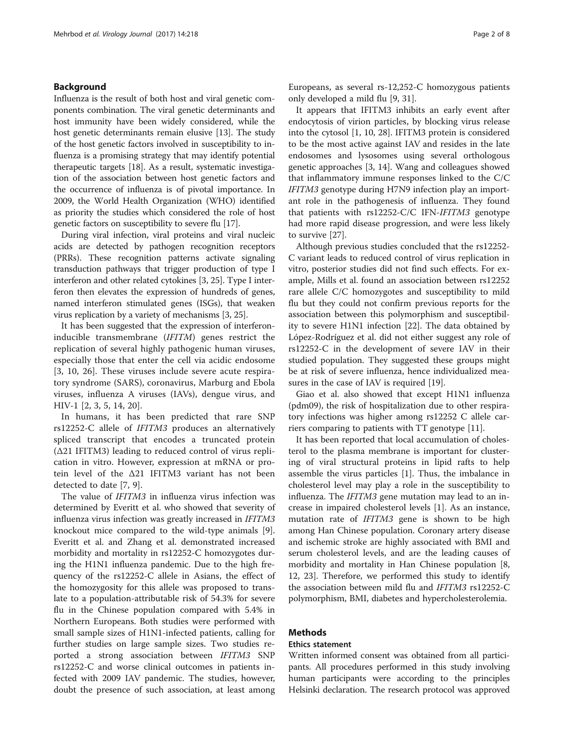# Background

Influenza is the result of both host and viral genetic components combination. The viral genetic determinants and host immunity have been widely considered, while the host genetic determinants remain elusive [\[13\]](#page-6-0). The study of the host genetic factors involved in susceptibility to influenza is a promising strategy that may identify potential therapeutic targets [[18](#page-7-0)]. As a result, systematic investigation of the association between host genetic factors and the occurrence of influenza is of pivotal importance. In 2009, the World Health Organization (WHO) identified as priority the studies which considered the role of host genetic factors on susceptibility to severe flu [[17](#page-7-0)].

During viral infection, viral proteins and viral nucleic acids are detected by pathogen recognition receptors (PRRs). These recognition patterns activate signaling transduction pathways that trigger production of type I interferon and other related cytokines [\[3,](#page-6-0) [25](#page-7-0)]. Type I interferon then elevates the expression of hundreds of genes, named interferon stimulated genes (ISGs), that weaken virus replication by a variety of mechanisms [[3](#page-6-0), [25\]](#page-7-0).

It has been suggested that the expression of interferoninducible transmembrane (IFITM) genes restrict the replication of several highly pathogenic human viruses, especially those that enter the cell via acidic endosome [[3, 10](#page-6-0), [26](#page-7-0)]. These viruses include severe acute respiratory syndrome (SARS), coronavirus, Marburg and Ebola viruses, influenza A viruses (IAVs), dengue virus, and HIV-1 [[2](#page-6-0), [3](#page-6-0), [5](#page-6-0), [14,](#page-6-0) [20\]](#page-7-0).

In humans, it has been predicted that rare SNP rs12252-C allele of IFITM3 produces an alternatively spliced transcript that encodes a truncated protein (Δ21 IFITM3) leading to reduced control of virus replication in vitro. However, expression at mRNA or protein level of the Δ21 IFITM3 variant has not been detected to date [[7, 9](#page-6-0)].

The value of IFITM3 in influenza virus infection was determined by Everitt et al. who showed that severity of influenza virus infection was greatly increased in IFITM3 knockout mice compared to the wild-type animals [\[9](#page-6-0)]. Everitt et al. and Zhang et al. demonstrated increased morbidity and mortality in rs12252-C homozygotes during the H1N1 influenza pandemic. Due to the high frequency of the rs12252-C allele in Asians, the effect of the homozygosity for this allele was proposed to translate to a population-attributable risk of 54.3% for severe flu in the Chinese population compared with 5.4% in Northern Europeans. Both studies were performed with small sample sizes of H1N1-infected patients, calling for further studies on large sample sizes. Two studies reported a strong association between IFITM3 SNP rs12252-C and worse clinical outcomes in patients infected with 2009 IAV pandemic. The studies, however, doubt the presence of such association, at least among Europeans, as several rs-12,252-C homozygous patients only developed a mild flu [[9,](#page-6-0) [31\]](#page-7-0).

It appears that IFITM3 inhibits an early event after endocytosis of virion particles, by blocking virus release into the cytosol [[1](#page-6-0), [10](#page-6-0), [28](#page-7-0)]. IFITM3 protein is considered to be the most active against IAV and resides in the late endosomes and lysosomes using several orthologous genetic approaches [\[3, 14](#page-6-0)]. Wang and colleagues showed that inflammatory immune responses linked to the C/C IFITM3 genotype during H7N9 infection play an important role in the pathogenesis of influenza. They found that patients with rs12252-C/C IFN-IFITM3 genotype had more rapid disease progression, and were less likely to survive [\[27\]](#page-7-0).

Although previous studies concluded that the rs12252- C variant leads to reduced control of virus replication in vitro, posterior studies did not find such effects. For example, Mills et al. found an association between rs12252 rare allele C/C homozygotes and susceptibility to mild flu but they could not confirm previous reports for the association between this polymorphism and susceptibility to severe H1N1 infection [[22](#page-7-0)]. The data obtained by López-Rodríguez et al. did not either suggest any role of rs12252-C in the development of severe IAV in their studied population. They suggested these groups might be at risk of severe influenza, hence individualized mea-sures in the case of IAV is required [\[19](#page-7-0)].

Giao et al. also showed that except H1N1 influenza (pdm09), the risk of hospitalization due to other respiratory infections was higher among rs12252 C allele carriers comparing to patients with TT genotype [\[11\]](#page-6-0).

It has been reported that local accumulation of cholesterol to the plasma membrane is important for clustering of viral structural proteins in lipid rafts to help assemble the virus particles [\[1](#page-6-0)]. Thus, the imbalance in cholesterol level may play a role in the susceptibility to influenza. The IFITM3 gene mutation may lead to an increase in impaired cholesterol levels [\[1](#page-6-0)]. As an instance, mutation rate of IFITM3 gene is shown to be high among Han Chinese population. Coronary artery disease and ischemic stroke are highly associated with BMI and serum cholesterol levels, and are the leading causes of morbidity and mortality in Han Chinese population [\[8](#page-6-0), [12,](#page-6-0) [23\]](#page-7-0). Therefore, we performed this study to identify the association between mild flu and IFITM3 rs12252-C polymorphism, BMI, diabetes and hypercholesterolemia.

# Methods

# Ethics statement

Written informed consent was obtained from all participants. All procedures performed in this study involving human participants were according to the principles Helsinki declaration. The research protocol was approved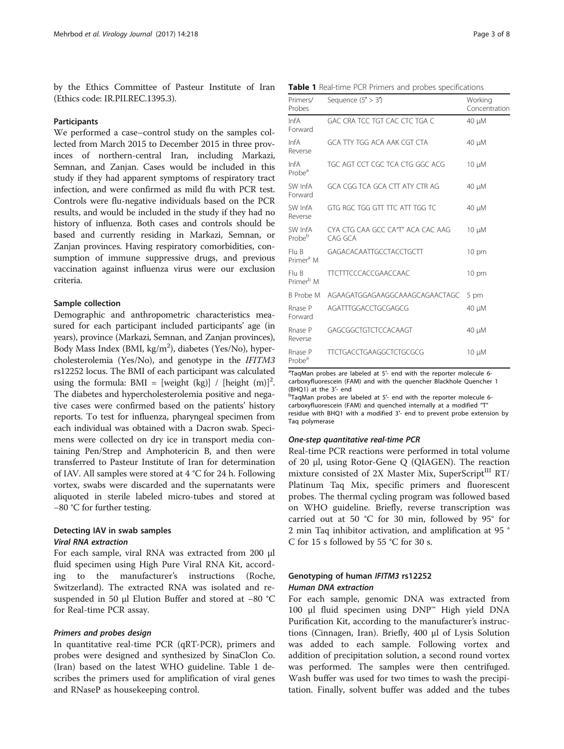by the Ethics Committee of Pasteur Institute of Iran (Ethics code: IR.PII.REC.1395.3).

# Participants

We performed a case–control study on the samples collected from March 2015 to December 2015 in three provinces of northern-central Iran, including Markazi, Semnan, and Zanjan. Cases would be included in this study if they had apparent symptoms of respiratory tract infection, and were confirmed as mild flu with PCR test. Controls were flu-negative individuals based on the PCR results, and would be included in the study if they had no history of influenza. Both cases and controls should be based and currently residing in Markazi, Semnan, or Zanjan provinces. Having respiratory comorbidities, consumption of immune suppressive drugs, and previous vaccination against influenza virus were our exclusion criteria.

# Sample collection

Demographic and anthropometric characteristics measured for each participant included participants' age (in years), province (Markazi, Semnan, and Zanjan provinces), Body Mass Index (BMI, kg/m<sup>2</sup>), diabetes (Yes/No), hypercholesterolemia (Yes/No), and genotype in the IFITM3 rs12252 locus. The BMI of each participant was calculated using the formula:  $BMI =$  [weight (kg)] / [height (m)]<sup>2</sup>. The diabetes and hypercholesterolemia positive and negative cases were confirmed based on the patients' history reports. To test for influenza, pharyngeal specimen from each individual was obtained with a Dacron swab. Specimens were collected on dry ice in transport media containing Pen/Strep and Amphotericin B, and then were transferred to Pasteur Institute of Iran for determination of IAV. All samples were stored at 4 °C for 24 h. Following vortex, swabs were discarded and the supernatants were aliquoted in sterile labeled micro-tubes and stored at −80 °C for further testing.

# Detecting IAV in swab samples Viral RNA extraction

For each sample, viral RNA was extracted from 200 μl fluid specimen using High Pure Viral RNA Kit, according to the manufacturer's instructions (Roche, Switzerland). The extracted RNA was isolated and resuspended in 50 μl Elution Buffer and stored at −80 °C for Real-time PCR assay.

# Primers and probes design

In quantitative real-time PCR (qRT-PCR), primers and probes were designed and synthesized by SinaClon Co. (Iran) based on the latest WHO guideline. Table 1 describes the primers used for amplification of viral genes and RNaseP as housekeeping control.

Table 1 Real-time PCR Primers and probes specifications

| Primers/<br>Probes             | Sequence $(5' > 3')$                         | Working<br>Concentration |
|--------------------------------|----------------------------------------------|--------------------------|
| InfA<br>Forward                | GAC CRA TCC TGT CAC CTC TGA C                | 40 µM                    |
| InfA<br>Reverse                | GCA TTY TGG ACA AAK CGT CTA                  | 40 µM                    |
| InfA<br>Probe <sup>a</sup>     | TGC AGT CCT CGC TCA CTG GGC ACG              | $10 \mu M$               |
| SW InfA<br>Forward             | GCA CGG TCA GCA CTT ATY CTR AG               | 40 µM                    |
| SW InfA<br>Reverse             | GTG RGC TGG GTT TTC ATT TGG TC               | 40 µM                    |
| SW InfA<br>Probe <sup>b</sup>  | CYA CTG CAA GCC CA"T" ACA CAC AAG<br>CAG GCA | $10 \mu M$               |
| Flu B<br>Primer <sup>a</sup> M | GAGACACAATTGCCTACCTGCTT                      | $10 \text{ pm}$          |
| Flu B<br>Primer <sup>b</sup> M | <b>TTCTTTCCCACCGAACCAAC</b>                  | $10 \text{ pm}$          |
|                                | B Probe M AGAAGATGGAGAAGGCAAAGCAGAACTAGC     | 5 pm                     |
| Rnase P<br>Forward             | AGATTTGGACCTGCGAGCG                          | 40 µM                    |
| Rnase P<br>Reverse             | GAGCGGCTGTCTCCACAAGT                         | 40 µM                    |
| Rnase P<br>Probe <sup>a</sup>  | <b>TTCTGACCTGAAGGCTCTGCGCG</b>               | $10 \mu M$               |

<sup>a</sup>TaqMan probes are labeled at 5'- end with the reporter molecule 6carboxyfluorescein (FAM) and with the quencher Blackhole Quencher 1 (BHQ1) at the 3′- end <sup>b</sup>

bTaqMan probes are labeled at 5'- end with the reporter molecule 6carboxyfluorescein (FAM) and quenched internally at a modified "T" residue with BHQ1 with a modified 3′- end to prevent probe extension by Taq polymerase

# One-step quantitative real-time PCR

Real-time PCR reactions were performed in total volume of 20 μl, using Rotor-Gene Q (QIAGEN). The reaction mixture consisted of 2X Master Mix, SuperScript $^{III}$  RT/ Platinum Taq Mix, specific primers and fluorescent probes. The thermal cycling program was followed based on WHO guideline. Briefly, reverse transcription was carried out at 50 °C for 30 min, followed by 95° for 2 min Taq inhibitor activation, and amplification at 95 ° C for 15 s followed by 55 °C for 30 s.

# Genotyping of human IFITM3 rs12252 Human DNA extraction

For each sample, genomic DNA was extracted from 100 μl fluid specimen using DNP™ High yield DNA Purification Kit, according to the manufacturer's instructions (Cinnagen, Iran). Briefly, 400 μl of Lysis Solution was added to each sample. Following vortex and addition of precipitation solution, a second round vortex was performed. The samples were then centrifuged. Wash buffer was used for two times to wash the precipitation. Finally, solvent buffer was added and the tubes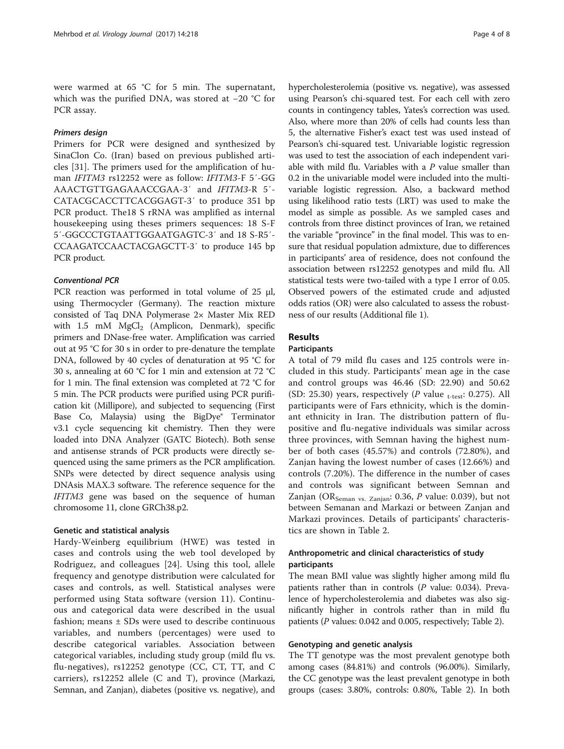were warmed at 65 °C for 5 min. The supernatant, which was the purified DNA, was stored at −20 °C for PCR assay.

# Primers design

Primers for PCR were designed and synthesized by SinaClon Co. (Iran) based on previous published articles [[31\]](#page-7-0). The primers used for the amplification of human IFITM3 rs12252 were as follow: IFITM3-F 5′-GG AAACTGTTGAGAAACCGAA-3′ and IFITM3-R 5′- CATACGCACCTTCACGGAGT-3′ to produce 351 bp PCR product. The18 S rRNA was amplified as internal housekeeping using theses primers sequences: 18 S-F 5′-GGCCCTGTAATTGGAATGAGTC-3′ and 18 S-R5′- CCAAGATCCAACTACGAGCTT-3′ to produce 145 bp PCR product.

# Conventional PCR

PCR reaction was performed in total volume of 25 μl, using Thermocycler (Germany). The reaction mixture consisted of Taq DNA Polymerase 2× Master Mix RED with 1.5 mM  $MgCl<sub>2</sub>$  (Amplicon, Denmark), specific primers and DNase-free water. Amplification was carried out at 95 °C for 30 s in order to pre-denature the template DNA, followed by 40 cycles of denaturation at 95 °C for 30 s, annealing at 60 °C for 1 min and extension at 72 °C for 1 min. The final extension was completed at 72 °C for 5 min. The PCR products were purified using PCR purification kit (Millipore), and subjected to sequencing (First Base Co, Malaysia) using the BigDye® Terminator v3.1 cycle sequencing kit chemistry. Then they were loaded into DNA Analyzer (GATC Biotech). Both sense and antisense strands of PCR products were directly sequenced using the same primers as the PCR amplification. SNPs were detected by direct sequence analysis using DNAsis MAX.3 software. The reference sequence for the IFITM3 gene was based on the sequence of human chromosome 11, clone GRCh38.p2.

# Genetic and statistical analysis

Hardy-Weinberg equilibrium (HWE) was tested in cases and controls using the web tool developed by Rodriguez, and colleagues [[24\]](#page-7-0). Using this tool, allele frequency and genotype distribution were calculated for cases and controls, as well. Statistical analyses were performed using Stata software (version 11). Continuous and categorical data were described in the usual fashion; means ± SDs were used to describe continuous variables, and numbers (percentages) were used to describe categorical variables. Association between categorical variables, including study group (mild flu vs. flu-negatives), rs12252 genotype (CC, CT, TT, and C carriers), rs12252 allele (C and T), province (Markazi, Semnan, and Zanjan), diabetes (positive vs. negative), and hypercholesterolemia (positive vs. negative), was assessed using Pearson's chi-squared test. For each cell with zero counts in contingency tables, Yates's correction was used. Also, where more than 20% of cells had counts less than 5, the alternative Fisher's exact test was used instead of Pearson's chi-squared test. Univariable logistic regression was used to test the association of each independent variable with mild flu. Variables with a  $P$  value smaller than 0.2 in the univariable model were included into the multivariable logistic regression. Also, a backward method using likelihood ratio tests (LRT) was used to make the model as simple as possible. As we sampled cases and controls from three distinct provinces of Iran, we retained the variable "province" in the final model. This was to ensure that residual population admixture, due to differences in participants' area of residence, does not confound the association between rs12252 genotypes and mild flu. All statistical tests were two-tailed with a type I error of 0.05. Observed powers of the estimated crude and adjusted odds ratios (OR) were also calculated to assess the robustness of our results (Additional file [1\)](#page-6-0).

# Results

# **Participants**

A total of 79 mild flu cases and 125 controls were included in this study. Participants' mean age in the case and control groups was 46.46 (SD: 22.90) and 50.62 (SD: 25.30) years, respectively ( $P$  value t-test: 0.275). All participants were of Fars ethnicity, which is the dominant ethnicity in Iran. The distribution pattern of flupositive and flu-negative individuals was similar across three provinces, with Semnan having the highest number of both cases (45.57%) and controls (72.80%), and Zanjan having the lowest number of cases (12.66%) and controls (7.20%). The difference in the number of cases and controls was significant between Semnan and Zanjan (OR<sub>Seman vs. Zanjan</sub>: 0.36, P value: 0.039), but not between Semanan and Markazi or between Zanjan and Markazi provinces. Details of participants' characteristics are shown in Table [2](#page-4-0).

# Anthropometric and clinical characteristics of study participants

The mean BMI value was slightly higher among mild flu patients rather than in controls  $(P$  value: 0.034). Prevalence of hypercholesterolemia and diabetes was also significantly higher in controls rather than in mild flu patients (P values: 0.042 and 0.005, respectively; Table [2](#page-4-0)).

# Genotyping and genetic analysis

The TT genotype was the most prevalent genotype both among cases (84.81%) and controls (96.00%). Similarly, the CC genotype was the least prevalent genotype in both groups (cases: 3.80%, controls: 0.80%, Table [2](#page-4-0)). In both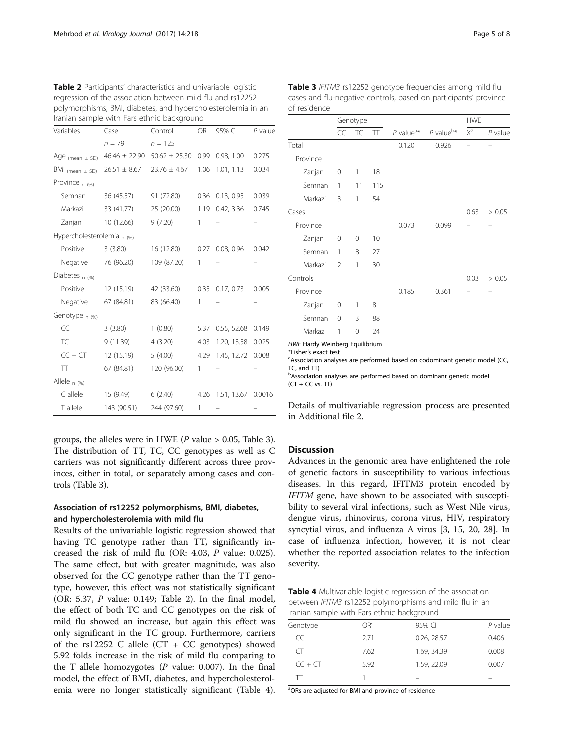| Iranian sample with Fars ethnic background |                   |                   |           |                    |           |
|--------------------------------------------|-------------------|-------------------|-----------|--------------------|-----------|
| Variables                                  | Case              | Control           | <b>OR</b> | 95% CI             | $P$ value |
|                                            | $n = 79$          | $n = 125$         |           |                    |           |
| Age (mean $\pm$ SD)                        | $46.46 \pm 22.90$ | $50.62 \pm 25.30$ | 0.99      | 0.98, 1.00         | 0.275     |
| $BMI_{(mean \pm SD)}$                      | $26.51 \pm 8.67$  | $23.76 \pm 4.67$  | 1.06      | 1.01, 1.13         | 0.034     |
| Province $n(96)$                           |                   |                   |           |                    |           |
| Semnan                                     | 36 (45.57)        | 91 (72.80)        | 0.36      | 0.13, 0.95         | 0.039     |
| Markazi                                    | 33 (41.77)        | 25 (20.00)        | 1.19      | 0.42, 3.36         | 0.745     |
| Zanjan                                     | 10(12.66)         | 9(7.20)           | 1         |                    |           |
| Hypercholesterolemia n (%)                 |                   |                   |           |                    |           |
| Positive                                   | 3(3.80)           | 16 (12.80)        | 0.27      | 0.08, 0.96         | 0.042     |
| Negative                                   | 76 (96.20)        | 109 (87.20)       | 1         |                    |           |
| Diabetes $n(96)$                           |                   |                   |           |                    |           |
| Positive                                   | 12 (15.19)        | 42 (33.60)        | 0.35      | 0.17, 0.73         | 0.005     |
| Negative                                   | 67 (84.81)        | 83 (66.40)        | 1         |                    |           |
| Genotype n (%)                             |                   |                   |           |                    |           |
| CC                                         | 3(3.80)           | 1(0.80)           | 5.37      | 0.55, 52.68        | 0.149     |
| <b>TC</b>                                  | 9(11.39)          | 4(3.20)           | 4.03      | 1.20, 13.58        | 0.025     |
| $CC + CT$                                  | 12 (15.19)        | 5(4.00)           | 4.29      | 1.45, 12.72        | 0.008     |
| $\top$                                     | 67 (84.81)        | 120 (96.00)       | 1         |                    |           |
| Allele <sub>n (%)</sub>                    |                   |                   |           |                    |           |
| C allele                                   | 15 (9.49)         | 6(2.40)           | 4.26      | 1.51, 13.67 0.0016 |           |
| T allele                                   | 143 (90.51)       | 244 (97.60)       | 1         |                    |           |

<span id="page-4-0"></span>

| Table 2 Participants' characteristics and univariable logistic |
|----------------------------------------------------------------|
| regression of the association between mild flu and rs12252     |
| polymorphisms, BMI, diabetes, and hypercholesterolemia in an   |
| Iranian sample with Fars ethnic background                     |

groups, the alleles were in HWE ( $P$  value  $> 0.05$ , Table 3). The distribution of TT, TC, CC genotypes as well as C carriers was not significantly different across three provinces, either in total, or separately among cases and controls (Table 3).

# Association of rs12252 polymorphisms, BMI, diabetes, and hypercholesterolemia with mild flu

Results of the univariable logistic regression showed that having TC genotype rather than TT, significantly increased the risk of mild flu (OR: 4.03, P value: 0.025). The same effect, but with greater magnitude, was also observed for the CC genotype rather than the TT genotype, however, this effect was not statistically significant (OR: 5.37, P value: 0.149; Table 2). In the final model, the effect of both TC and CC genotypes on the risk of mild flu showed an increase, but again this effect was only significant in the TC group. Furthermore, carriers of the rs12252 C allele (CT + CC genotypes) showed 5.92 folds increase in the risk of mild flu comparing to the T allele homozygotes  $(P$  value: 0.007). In the final model, the effect of BMI, diabetes, and hypercholesterolemia were no longer statistically significant (Table 4).

| Page 5 of |  |
|-----------|--|
|-----------|--|

|          |                | Genotype |              |                         |                         | <b>HWE</b> |           |
|----------|----------------|----------|--------------|-------------------------|-------------------------|------------|-----------|
|          | CC             | TC       | $\mathbb{T}$ | $P$ value <sup>a*</sup> | $P$ value <sup>b*</sup> | $X^2$      | $P$ value |
| Total    |                |          |              | 0.120                   | 0.926                   |            |           |
| Province |                |          |              |                         |                         |            |           |
| Zanjan   | 0              | 1        | 18           |                         |                         |            |           |
| Semnan   | 1              | 11       | 115          |                         |                         |            |           |
| Markazi  | 3              | 1        | 54           |                         |                         |            |           |
| Cases    |                |          |              |                         |                         | 0.63       | > 0.05    |
| Province |                |          |              | 0.073                   | 0.099                   |            |           |
| Zanjan   | 0              | $\Omega$ | 10           |                         |                         |            |           |
| Semnan   | 1              | 8        | 27           |                         |                         |            |           |
| Markazi  | $\overline{2}$ | 1        | 30           |                         |                         |            |           |
| Controls |                |          |              |                         |                         | 0.03       | > 0.05    |
| Province |                |          |              | 0.185                   | 0.361                   |            |           |
| Zanjan   | 0              | 1        | 8            |                         |                         |            |           |
| Semnan   | 0              | 3        | 88           |                         |                         |            |           |
| Markazi  | 1              | 0        | 24           |                         |                         |            |           |

Table 3 IFITM3 rs12252 genotype frequencies among mild flu cases and flu-negative controls, based on participants' province of residence

HWE Hardy Weinberg Equilibrium \*Fisher's exact test

<sup>a</sup> Association analyses are performed based on codominant genetic model (CC, TC, and TT)

**bAssociation analyses are performed based on dominant genetic model**  $(CT + CC vs. TT)$ 

Details of multivariable regression process are presented in Additional file [2.](#page-6-0)

# **Discussion**

Advances in the genomic area have enlightened the role of genetic factors in susceptibility to various infectious diseases. In this regard, IFITM3 protein encoded by IFITM gene, have shown to be associated with susceptibility to several viral infections, such as West Nile virus, dengue virus, rhinovirus, corona virus, HIV, respiratory syncytial virus, and influenza A virus [[3,](#page-6-0) [15, 20, 28\]](#page-7-0). In case of influenza infection, however, it is not clear whether the reported association relates to the infection severity.

Table 4 Multivariable logistic regression of the association between IFITM3 rs12252 polymorphisms and mild flu in an Iranian sample with Fars ethnic background

| Genotype               | ∩Rª  | 95% CI      | $P$ value |
|------------------------|------|-------------|-----------|
| CC                     | 2.71 | 0.26, 28.57 | 0.406     |
| $\left( \quad \right)$ | 7.62 | 1.69, 34.39 | 0.008     |
| $CC + CT$              | 5.92 | 1.59, 22.09 | 0.007     |
|                        |      |             |           |
|                        |      |             |           |

<sup>a</sup>ORs are adjusted for BMI and province of residence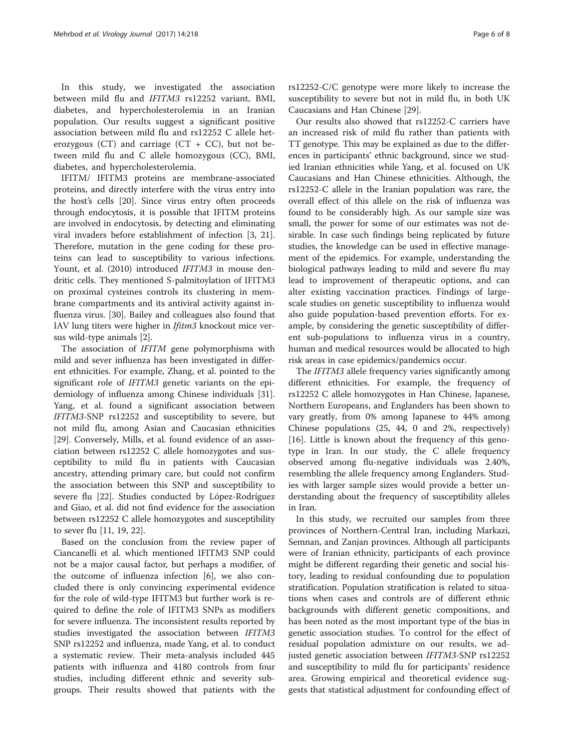In this study, we investigated the association between mild flu and IFITM3 rs12252 variant, BMI, diabetes, and hypercholesterolemia in an Iranian population. Our results suggest a significant positive association between mild flu and rs12252 C allele heterozygous (CT) and carriage (CT + CC), but not between mild flu and C allele homozygous (CC), BMI, diabetes, and hypercholesterolemia.

IFITM/ IFITM3 proteins are membrane-associated proteins, and directly interfere with the virus entry into the host's cells [[20\]](#page-7-0). Since virus entry often proceeds through endocytosis, it is possible that IFITM proteins are involved in endocytosis, by detecting and eliminating viral invaders before establishment of infection [[3,](#page-6-0) [21](#page-7-0)]. Therefore, mutation in the gene coding for these proteins can lead to susceptibility to various infections. Yount, et al. (2010) introduced IFITM3 in mouse dendritic cells. They mentioned S-palmitoylation of IFITM3 on proximal cysteines controls its clustering in membrane compartments and its antiviral activity against influenza virus. [[30\]](#page-7-0). Bailey and colleagues also found that IAV lung titers were higher in Ifitm3 knockout mice versus wild-type animals [[2\]](#page-6-0).

The association of *IFITM* gene polymorphisms with mild and sever influenza has been investigated in different ethnicities. For example, Zhang, et al. pointed to the significant role of IFITM3 genetic variants on the epidemiology of influenza among Chinese individuals [\[31](#page-7-0)]. Yang, et al. found a significant association between IFITM3-SNP rs12252 and susceptibility to severe, but not mild flu, among Asian and Caucasian ethnicities [[29\]](#page-7-0). Conversely, Mills, et al. found evidence of an association between rs12252 C allele homozygotes and susceptibility to mild flu in patients with Caucasian ancestry, attending primary care, but could not confirm the association between this SNP and susceptibility to severe flu [\[22](#page-7-0)]. Studies conducted by López-Rodríguez and Giao, et al. did not find evidence for the association between rs12252 C allele homozygotes and susceptibility to sever flu [[11](#page-6-0), [19](#page-7-0), [22](#page-7-0)].

Based on the conclusion from the review paper of Ciancanelli et al. which mentioned IFITM3 SNP could not be a major causal factor, but perhaps a modifier, of the outcome of influenza infection [[6\]](#page-6-0), we also concluded there is only convincing experimental evidence for the role of wild-type IFITM3 but further work is required to define the role of IFITM3 SNPs as modifiers for severe influenza. The inconsistent results reported by studies investigated the association between IFITM3 SNP rs12252 and influenza, made Yang, et al. to conduct a systematic review. Their meta-analysis included 445 patients with influenza and 4180 controls from four studies, including different ethnic and severity subgroups. Their results showed that patients with the rs12252-C/C genotype were more likely to increase the susceptibility to severe but not in mild flu, in both UK Caucasians and Han Chinese [[29\]](#page-7-0).

Our results also showed that rs12252-C carriers have an increased risk of mild flu rather than patients with TT genotype. This may be explained as due to the differences in participants' ethnic background, since we studied Iranian ethnicities while Yang, et al. focused on UK Caucasians and Han Chinese ethnicities. Although, the rs12252-C allele in the Iranian population was rare, the overall effect of this allele on the risk of influenza was found to be considerably high. As our sample size was small, the power for some of our estimates was not desirable. In case such findings being replicated by future studies, the knowledge can be used in effective management of the epidemics. For example, understanding the biological pathways leading to mild and severe flu may lead to improvement of therapeutic options, and can alter existing vaccination practices. Findings of largescale studies on genetic susceptibility to influenza would also guide population-based prevention efforts. For example, by considering the genetic susceptibility of different sub-populations to influenza virus in a country, human and medical resources would be allocated to high risk areas in case epidemics/pandemics occur.

The IFITM3 allele frequency varies significantly among different ethnicities. For example, the frequency of rs12252 C allele homozygotes in Han Chinese, Japanese, Northern Europeans, and Englanders has been shown to vary greatly, from 0% among Japanese to 44% among Chinese populations (25, 44, 0 and 2%, respectively) [[16\]](#page-7-0). Little is known about the frequency of this genotype in Iran. In our study, the C allele frequency observed among flu-negative individuals was 2.40%, resembling the allele frequency among Englanders. Studies with larger sample sizes would provide a better understanding about the frequency of susceptibility alleles in Iran.

In this study, we recruited our samples from three provinces of Northern-Central Iran, including Markazi, Semnan, and Zanjan provinces. Although all participants were of Iranian ethnicity, participants of each province might be different regarding their genetic and social history, leading to residual confounding due to population stratification. Population stratification is related to situations when cases and controls are of different ethnic backgrounds with different genetic compositions, and has been noted as the most important type of the bias in genetic association studies. To control for the effect of residual population admixture on our results, we adjusted genetic association between IFITM3-SNP rs12252 and susceptibility to mild flu for participants' residence area. Growing empirical and theoretical evidence suggests that statistical adjustment for confounding effect of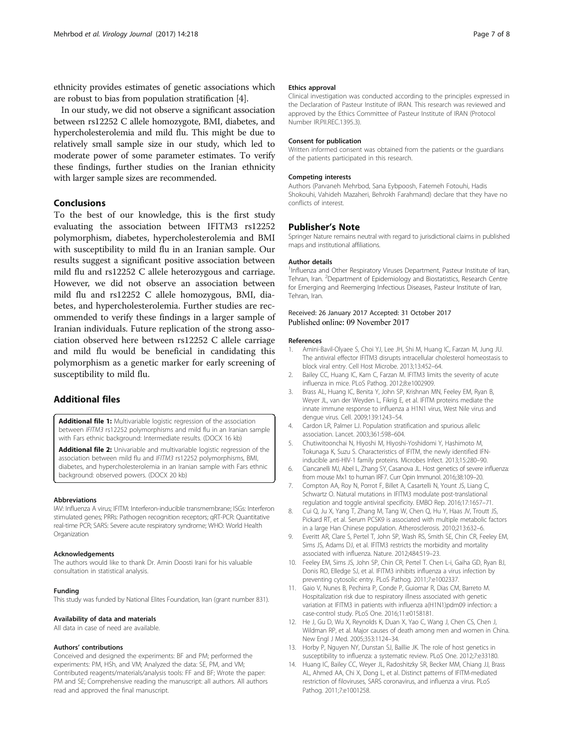<span id="page-6-0"></span>ethnicity provides estimates of genetic associations which are robust to bias from population stratification [4].

In our study, we did not observe a significant association between rs12252 C allele homozygote, BMI, diabetes, and hypercholesterolemia and mild flu. This might be due to relatively small sample size in our study, which led to moderate power of some parameter estimates. To verify these findings, further studies on the Iranian ethnicity with larger sample sizes are recommended.

# Conclusions

To the best of our knowledge, this is the first study evaluating the association between IFITM3 rs12252 polymorphism, diabetes, hypercholesterolemia and BMI with susceptibility to mild flu in an Iranian sample. Our results suggest a significant positive association between mild flu and rs12252 C allele heterozygous and carriage. However, we did not observe an association between mild flu and rs12252 C allele homozygous, BMI, diabetes, and hypercholesterolemia. Further studies are recommended to verify these findings in a larger sample of Iranian individuals. Future replication of the strong association observed here between rs12252 C allele carriage and mild flu would be beneficial in candidating this polymorphism as a genetic marker for early screening of susceptibility to mild flu.

# Additional files

[Additional file 1:](dx.doi.org/10.1186/s12985-017-0884-4) Multivariable logistic regression of the association between IFITM3 rs12252 polymorphisms and mild flu in an Iranian sample with Fars ethnic background: Intermediate results. (DOCX 16 kb)

[Additional file 2:](dx.doi.org/10.1186/s12985-017-0884-4) Univariable and multivariable logistic regression of the association between mild flu and IFITM3 rs12252 polymorphisms, BMI, diabetes, and hypercholesterolemia in an Iranian sample with Fars ethnic background: observed powers. (DOCX 20 kb)

#### Abbreviations

IAV: Influenza A virus; IFITM: Interferon-inducible transmembrane; ISGs: Interferon stimulated genes; PRRs: Pathogen recognition receptors; qRT-PCR: Quantitative real-time PCR; SARS: Severe acute respiratory syndrome; WHO: World Health Organization

### Acknowledgements

The authors would like to thank Dr. Amin Doosti Irani for his valuable consultation in statistical analysis.

#### Funding

This study was funded by National Elites Foundation, Iran (grant number 831).

# Availability of data and materials

All data in case of need are available.

# Authors' contributions

Conceived and designed the experiments: BF and PM; performed the experiments: PM, HSh, and VM; Analyzed the data: SE, PM, and VM; Contributed reagents/materials/analysis tools: FF and BF; Wrote the paper: PM and SE; Comprehensive reading the manuscript: all authors. All authors read and approved the final manuscript.

#### Ethics approval

Clinical investigation was conducted according to the principles expressed in the Declaration of Pasteur Institute of IRAN. This research was reviewed and approved by the Ethics Committee of Pasteur Institute of IRAN (Protocol Number IR.PII.REC.1395.3).

#### Consent for publication

Written informed consent was obtained from the patients or the guardians of the patients participated in this research.

### Competing interests

Authors (Parvaneh Mehrbod, Sana Eybpoosh, Fatemeh Fotouhi, Hadis Shokouhi, Vahideh Mazaheri, Behrokh Farahmand) declare that they have no conflicts of interest.

# Publisher's Note

Springer Nature remains neutral with regard to jurisdictional claims in published maps and institutional affiliations.

# Author details

<sup>1</sup>Influenza and Other Respiratory Viruses Department, Pasteur Institute of Iran, Tehran, Iran. <sup>2</sup>Department of Epidemiology and Biostatistics, Research Centre for Emerging and Reemerging Infectious Diseases, Pasteur Institute of Iran, Tehran, Iran.

# Received: 26 January 2017 Accepted: 31 October 2017 Published online: 09 November 2017

#### References

- 1. Amini-Bavil-Olyaee S, Choi YJ, Lee JH, Shi M, Huang IC, Farzan M, Jung JU. The antiviral effector IFITM3 disrupts intracellular cholesterol homeostasis to block viral entry. Cell Host Microbe. 2013;13:452–64.
- 2. Bailey CC, Huang IC, Kam C, Farzan M. IFITM3 limits the severity of acute influenza in mice. PLoS Pathog. 2012;8:e1002909.
- 3. Brass AL, Huang IC, Benita Y, John SP, Krishnan MN, Feeley EM, Ryan B, Weyer JL, van der Weyden L, Fikrig E, et al. IFITM proteins mediate the innate immune response to influenza a H1N1 virus, West Nile virus and dengue virus. Cell. 2009;139:1243–54.
- 4. Cardon LR, Palmer LJ. Population stratification and spurious allelic association. Lancet. 2003;361:598–604.
- 5. Chutiwitoonchai N, Hiyoshi M, Hiyoshi-Yoshidomi Y, Hashimoto M, Tokunaga K, Suzu S. Characteristics of IFITM, the newly identified IFNinducible anti-HIV-1 family proteins. Microbes Infect. 2013;15:280–90.
- 6. Ciancanelli MJ, Abel L, Zhang SY, Casanova JL. Host genetics of severe influenza: from mouse Mx1 to human IRF7. Curr Opin Immunol. 2016;38:109–20.
- 7. Compton AA, Roy N, Porrot F, Billet A, Casartelli N, Yount JS, Liang C, Schwartz O. Natural mutations in IFITM3 modulate post-translational regulation and toggle antiviral specificity. EMBO Rep. 2016;17:1657–71.
- 8. Cui Q, Ju X, Yang T, Zhang M, Tang W, Chen Q, Hu Y, Haas JV, Troutt JS, Pickard RT, et al. Serum PCSK9 is associated with multiple metabolic factors in a large Han Chinese population. Atherosclerosis. 2010;213:632–6.
- Everitt AR, Clare S, Pertel T, John SP, Wash RS, Smith SE, Chin CR, Feeley EM, Sims JS, Adams DJ, et al. IFITM3 restricts the morbidity and mortality associated with influenza. Nature. 2012;484:519–23.
- 10. Feeley EM, Sims JS, John SP, Chin CR, Pertel T. Chen L-i, Gaiha GD, Ryan BJ, Donis RO, Elledge SJ, et al. IFITM3 inhibits influenza a virus infection by preventing cytosolic entry. PLoS Pathog. 2011;7:e1002337.
- 11. Gaio V, Nunes B, Pechirra P, Conde P, Guiomar R, Dias CM, Barreto M. Hospitalization risk due to respiratory illness associated with genetic variation at IFITM3 in patients with influenza a(H1N1)pdm09 infection: a case-control study. PLoS One. 2016;11:e0158181.
- 12. He J, Gu D, Wu X, Reynolds K, Duan X, Yao C, Wang J, Chen CS, Chen J, Wildman RP, et al. Major causes of death among men and women in China. New Engl J Med. 2005;353:1124–34.
- 13. Horby P, Nguyen NY, Dunstan SJ, Baillie JK. The role of host genetics in susceptibility to influenza: a systematic review. PLoS One. 2012;7:e33180.
- 14. Huang IC, Bailey CC, Weyer JL, Radoshitzky SR, Becker MM, Chiang JJ, Brass AL, Ahmed AA, Chi X, Dong L, et al. Distinct patterns of IFITM-mediated restriction of filoviruses, SARS coronavirus, and influenza a virus. PLoS Pathog. 2011;7:e1001258.